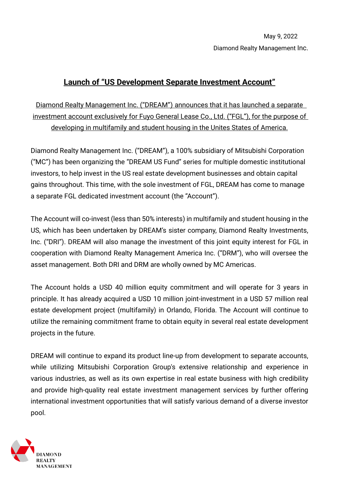## May 9, 2022 Diamond Realty Management Inc.

## **Launch of "US Development Separate Investment Account"**

Diamond Realty Management Inc. ("DREAM") announces that it has launched a separate investment account exclusively for Fuyo General Lease Co., Ltd. ("FGL"), for the purpose of developing in multifamily and student housing in the Unites States of America.

Diamond Realty Management Inc. ("DREAM"), a 100% subsidiary of Mitsubishi Corporation ("MC") has been organizing the "DREAM US Fund" series for multiple domestic institutional investors, to help invest in the US real estate development businesses and obtain capital gains throughout. This time, with the sole investment of FGL, DREAM has come to manage a separate FGL dedicated investment account (the "Account").

The Account will co-invest (less than 50% interests) in multifamily and student housing in the US, which has been undertaken by DREAM's sister company, Diamond Realty Investments, Inc. ("DRI"). DREAM will also manage the investment of this joint equity interest for FGL in cooperation with Diamond Realty Management America Inc. ("DRM"), who will oversee the asset management. Both DRI and DRM are wholly owned by MC Americas.

The Account holds a USD 40 million equity commitment and will operate for 3 years in principle. It has already acquired a USD 10 million joint-investment in a USD 57 million real estate development project (multifamily) in Orlando, Florida. The Account will continue to utilize the remaining commitment frame to obtain equity in several real estate development projects in the future.

DREAM will continue to expand its product line-up from development to separate accounts, while utilizing Mitsubishi Corporation Group's extensive relationship and experience in various industries, as well as its own expertise in real estate business with high credibility and provide high-quality real estate investment management services by further offering international investment opportunities that will satisfy various demand of a diverse investor pool.

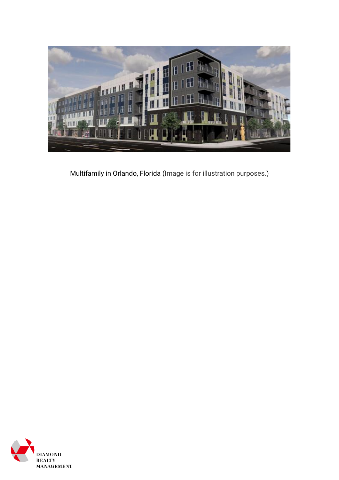

Multifamily in Orlando, Florida (Image is for illustration purposes.)

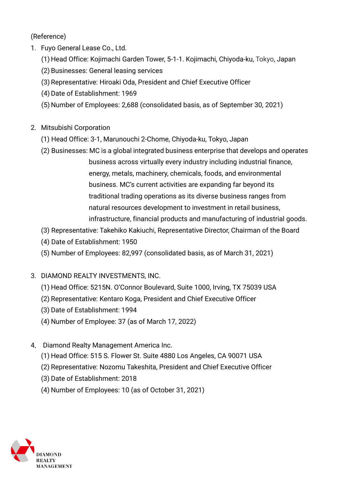(Reference)

- 1. Fuyo General Lease Co., Ltd.
	- (1) Head Office: Kojimachi Garden Tower, 5-1-1. Kojimachi, Chiyoda-ku, Tokyo, Japan
	- (2) Businesses: General leasing services
	- (3) Representative: Hiroaki Oda, President and Chief Executive Officer
	- (4) Date of Establishment: 1969
	- (5) Number of Employees: 2,688 (consolidated basis, as of September 30, 2021)
- 2. Mitsubishi Corporation
	- (1) Head Office: 3-1, Marunouchi 2-Chome, Chiyoda-ku, Tokyo, Japan
	- (2) Businesses: MC is a global integrated business enterprise that develops and operates business across virtually every industry including industrial finance, energy, metals, machinery, chemicals, foods, and environmental business. MC's current activities are expanding far beyond its traditional trading operations as its diverse business ranges from natural resources development to investment in retail business, infrastructure, financial products and manufacturing of industrial goods.
	- (3) Representative: Takehiko Kakiuchi, Representative Director, Chairman of the Board
	- (4) Date of Establishment: 1950
	- (5) Number of Employees: 82,997 (consolidated basis, as of March 31, 2021)
- 3. DIAMOND REALTY INVESTMENTS, INC.
	- (1) Head Office: 5215N. O'Connor Boulevard, Suite 1000, Irving, TX 75039 USA
	- (2) Representative: Kentaro Koga, President and Chief Executive Officer
	- (3) Date of Establishment: 1994
	- (4) Number of Employee: 37 (as of March 17, 2022)
- 4. Diamond Realty Management America Inc.
	- (1) Head Office: 515 S. Flower St. Suite 4880 Los Angeles, CA 90071 USA
	- (2) Representative: Nozomu Takeshita, President and Chief Executive Officer
	- (3) Date of Establishment: 2018
	- (4) Number of Employees: 10 (as of October 31, 2021)